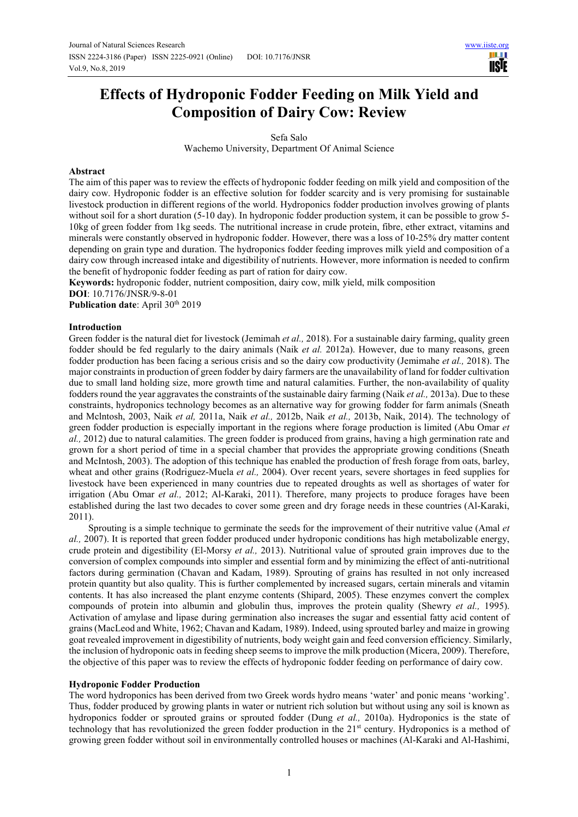# **Effects of Hydroponic Fodder Feeding on Milk Yield and Composition of Dairy Cow: Review**

Sefa Salo

Wachemo University, Department Of Animal Science

#### **Abstract**

The aim of this paper was to review the effects of hydroponic fodder feeding on milk yield and composition of the dairy cow. Hydroponic fodder is an effective solution for fodder scarcity and is very promising for sustainable livestock production in different regions of the world. Hydroponics fodder production involves growing of plants without soil for a short duration (5-10 day). In hydroponic fodder production system, it can be possible to grow 5-10kg of green fodder from 1kg seeds. The nutritional increase in crude protein, fibre, ether extract, vitamins and minerals were constantly observed in hydroponic fodder. However, there was a loss of 10-25% dry matter content depending on grain type and duration. The hydroponics fodder feeding improves milk yield and composition of a dairy cow through increased intake and digestibility of nutrients. However, more information is needed to confirm the benefit of hydroponic fodder feeding as part of ration for dairy cow.

**Keywords:** hydroponic fodder, nutrient composition, dairy cow, milk yield, milk composition

**DOI**: 10.7176/JNSR/9-8-01

**Publication date:** April 30<sup>th</sup> 2019

#### **Introduction**

Green fodder is the natural diet for livestock (Jemimah *et al.,* 2018). For a sustainable dairy farming, quality green fodder should be fed regularly to the dairy animals (Naik *et al.* 2012a). However, due to many reasons, green fodder production has been facing a serious crisis and so the dairy cow productivity (Jemimahe *et al.,* 2018). The major constraints in production of green fodder by dairy farmers are the unavailability of land for fodder cultivation due to small land holding size, more growth time and natural calamities. Further, the non-availability of quality fodders round the year aggravates the constraints of the sustainable dairy farming (Naik *et al.,* 2013a). Due to these constraints, hydroponics technology becomes as an alternative way for growing fodder for farm animals (Sneath and Mclntosh, 2003, Naik *et al,* 2011a, Naik *et al.,* 2012b, Naik *et al.,* 2013b, Naik, 2014). The technology of green fodder production is especially important in the regions where forage production is limited (Abu Omar *et al.,* 2012) due to natural calamities. The green fodder is produced from grains, having a high germination rate and grown for a short period of time in a special chamber that provides the appropriate growing conditions (Sneath and McIntosh, 2003). The adoption of this technique has enabled the production of fresh forage from oats, barley, wheat and other grains (Rodriguez-Muela *et al.,* 2004). Over recent years, severe shortages in feed supplies for livestock have been experienced in many countries due to repeated droughts as well as shortages of water for irrigation (Abu Omar *et al.,* 2012; Al-Karaki, 2011). Therefore, many projects to produce forages have been established during the last two decades to cover some green and dry forage needs in these countries (Al-Karaki, 2011).

Sprouting is a simple technique to germinate the seeds for the improvement of their nutritive value (Amal *et al.,* 2007). It is reported that green fodder produced under hydroponic conditions has high metabolizable energy, crude protein and digestibility (El-Morsy *et al.,* 2013). Nutritional value of sprouted grain improves due to the conversion of complex compounds into simpler and essential form and by minimizing the effect of anti-nutritional factors during germination (Chavan and Kadam, 1989). Sprouting of grains has resulted in not only increased protein quantity but also quality. This is further complemented by increased sugars, certain minerals and vitamin contents. It has also increased the plant enzyme contents (Shipard, 2005). These enzymes convert the complex compounds of protein into albumin and globulin thus, improves the protein quality (Shewry *et al.,* 1995). Activation of amylase and lipase during germination also increases the sugar and essential fatty acid content of grains (MacLeod and White, 1962; Chavan and Kadam, 1989). Indeed, using sprouted barley and maize in growing goat revealed improvement in digestibility of nutrients, body weight gain and feed conversion efficiency. Similarly, the inclusion of hydroponic oats in feeding sheep seems to improve the milk production (Micera, 2009). Therefore, the objective of this paper was to review the effects of hydroponic fodder feeding on performance of dairy cow.

## **Hydroponic Fodder Production**

The word hydroponics has been derived from two Greek words hydro means 'water' and ponic means 'working'. Thus, fodder produced by growing plants in water or nutrient rich solution but without using any soil is known as hydroponics fodder or sprouted grains or sprouted fodder (Dung *et al.,* 2010a). Hydroponics is the state of technology that has revolutionized the green fodder production in the 21st century. Hydroponics is a method of growing green fodder without soil in environmentally controlled houses or machines (Al-Karaki and Al-Hashimi,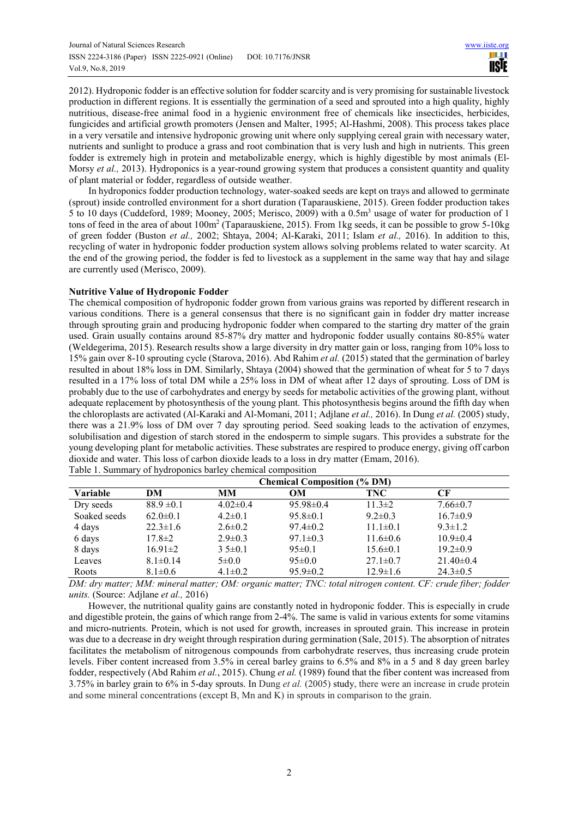2012). Hydroponic fodder is an effective solution for fodder scarcity and is very promising for sustainable livestock production in different regions. It is essentially the germination of a seed and sprouted into a high quality, highly nutritious, disease-free animal food in a hygienic environment free of chemicals like insecticides, herbicides, fungicides and artificial growth promoters (Jensen and Malter, 1995; Al-Hashmi, 2008). This process takes place in a very versatile and intensive hydroponic growing unit where only supplying cereal grain with necessary water, nutrients and sunlight to produce a grass and root combination that is very lush and high in nutrients. This green fodder is extremely high in protein and metabolizable energy, which is highly digestible by most animals (El-Morsy *et al.*, 2013). Hydroponics is a year-round growing system that produces a consistent quantity and quality of plant material or fodder, regardless of outside weather.

In hydroponics fodder production technology, water-soaked seeds are kept on trays and allowed to germinate (sprout) inside controlled environment for a short duration (Taparauskiene, 2015). Green fodder production takes 5 to 10 days (Cuddeford, 1989; Mooney, 2005; Merisco, 2009) with a 0.5m<sup>3</sup> usage of water for production of 1 tons of feed in the area of about 100m<sup>2</sup> (Taparauskiene, 2015). From 1kg seeds, it can be possible to grow 5-10kg of green fodder (Buston *et al.,* 2002; Shtaya, 2004; Al-Karaki, 2011; Islam *et al.,* 2016). In addition to this, recycling of water in hydroponic fodder production system allows solving problems related to water scarcity. At the end of the growing period, the fodder is fed to livestock as a supplement in the same way that hay and silage are currently used (Merisco, 2009).

#### **Nutritive Value of Hydroponic Fodder**

The chemical composition of hydroponic fodder grown from various grains was reported by different research in various conditions. There is a general consensus that there is no significant gain in fodder dry matter increase through sprouting grain and producing hydroponic fodder when compared to the starting dry matter of the grain used. Grain usually contains around 85-87% dry matter and hydroponic fodder usually contains 80-85% water (Weldegerima, 2015). Research results show a large diversity in dry matter gain or loss, ranging from 10% loss to 15% gain over 8-10 sprouting cycle (Starova, 2016). Abd Rahim *et al.* (2015) stated that the germination of barley resulted in about 18% loss in DM. Similarly, Shtaya (2004) showed that the germination of wheat for 5 to 7 days resulted in a 17% loss of total DM while a 25% loss in DM of wheat after 12 days of sprouting. Loss of DM is probably due to the use of carbohydrates and energy by seeds for metabolic activities of the growing plant, without adequate replacement by photosynthesis of the young plant. This photosynthesis begins around the fifth day when the chloroplasts are activated (Al-Karaki and Al-Momani, 2011; Adjlane *et al.,* 2016). In Dung *et al.* (2005) study, there was a 21.9% loss of DM over 7 day sprouting period. Seed soaking leads to the activation of enzymes, solubilisation and digestion of starch stored in the endosperm to simple sugars. This provides a substrate for the young developing plant for metabolic activities. These substrates are respired to produce energy, giving off carbon dioxide and water. This loss of carbon dioxide leads to a loss in dry matter (Emam, 2016). Table 1. Summary of hydroponics barley chemical composition

| <b>Chemical Composition (% DM)</b> |                |                |                 |                |                 |
|------------------------------------|----------------|----------------|-----------------|----------------|-----------------|
| Variable                           | DM             | MМ             | <b>OM</b>       | TNC            | CF              |
| Dry seeds                          | $88.9 \pm 0.1$ | $4.02 \pm 0.4$ | $95.98 \pm 0.4$ | $11.3 \pm 2$   | $7.66 \pm 0.7$  |
| Soaked seeds                       | $62.0 \pm 0.1$ | $4.2 \pm 0.1$  | $95.8 \pm 0.1$  | $9.2 \pm 0.3$  | $16.7 \pm 0.9$  |
| 4 days                             | $22.3 \pm 1.6$ | $2.6 \pm 0.2$  | $97.4 \pm 0.2$  | $11.1 \pm 0.1$ | $9.3 \pm 1.2$   |
| 6 days                             | $17.8 \pm 2$   | $2.9 \pm 0.3$  | $97.1 \pm 0.3$  | $11.6 \pm 0.6$ | $10.9 \pm 0.4$  |
| 8 days                             | $16.91 \pm 2$  | $3\,5\pm0.1$   | $95 \pm 0.1$    | $15.6 \pm 0.1$ | $19.2 \pm 0.9$  |
| Leaves                             | $8.1 \pm 0.14$ | $5 \pm 0.0$    | $95 \pm 0.0$    | $27.1 \pm 0.7$ | $21.40 \pm 0.4$ |
| Roots                              | $8.1 \pm 0.6$  | $4.1 \pm 0.2$  | $95.9 \pm 0.2$  | $12.9 \pm 1.6$ | $24.3 \pm 0.5$  |

*DM: dry matter; MM: mineral matter; OM: organic matter; TNC: total nitrogen content. CF: crude fiber; fodder units.* (Source: Adjlane *et al.,* 2016)

However, the nutritional quality gains are constantly noted in hydroponic fodder. This is especially in crude and digestible protein, the gains of which range from 2-4%. The same is valid in various extents for some vitamins and micro-nutrients. Protein, which is not used for growth, increases in sprouted grain. This increase in protein was due to a decrease in dry weight through respiration during germination (Sale, 2015). The absorption of nitrates facilitates the metabolism of nitrogenous compounds from carbohydrate reserves, thus increasing crude protein levels. Fiber content increased from 3.5% in cereal barley grains to 6.5% and 8% in a 5 and 8 day green barley fodder, respectively (Abd Rahim *et al.*, 2015). Chung *et al.* (1989) found that the fiber content was increased from 3.75% in barley grain to 6% in 5-day sprouts. In Dung *et al.* (2005) study, there were an increase in crude protein and some mineral concentrations (except B, Mn and K) in sprouts in comparison to the grain.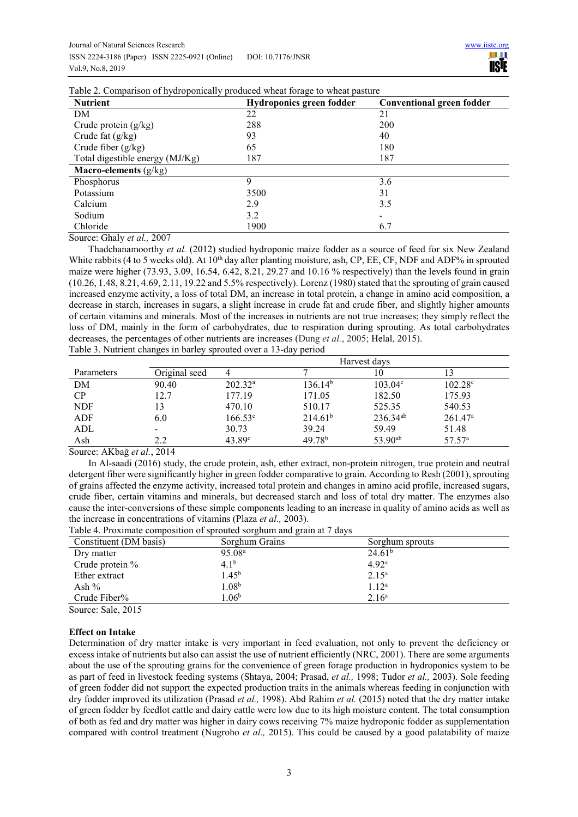| <b>Nutrient</b>                 | <b>Hydroponics green fodder</b> | <b>Conventional green fodder</b> |
|---------------------------------|---------------------------------|----------------------------------|
| DM                              | 22                              | 21                               |
| Crude protein $(g/kg)$          | 288                             | 200                              |
| Crude fat $(g/kg)$              | 93                              | 40                               |
| Crude fiber $(g/kg)$            | 65                              | 180                              |
| Total digestible energy (MJ/Kg) | 187                             | 187                              |
| <b>Macro-elements</b> $(g/kg)$  |                                 |                                  |
| Phosphorus                      | 9                               | 3.6                              |
| Potassium                       | 3500                            | 31                               |
| Calcium                         | 2.9                             | 3.5                              |
| Sodium                          | 3.2                             |                                  |
| Chloride                        | 1900                            | 6.7                              |

Table 2. Comparison of hydroponically produced wheat forage to wheat pasture

Source: Ghaly *et al.,* 2007

Thadchanamoorthy *et al.* (2012) studied hydroponic maize fodder as a source of feed for six New Zealand White rabbits (4 to 5 weeks old). At  $10<sup>th</sup>$  day after planting moisture, ash, CP, EE, CF, NDF and ADF% in sprouted maize were higher (73.93, 3.09, 16.54, 6.42, 8.21, 29.27 and 10.16 % respectively) than the levels found in grain (10.26, 1.48, 8.21, 4.69, 2.11, 19.22 and 5.5% respectively). Lorenz (1980) stated that the sprouting of grain caused increased enzyme activity, a loss of total DM, an increase in total protein, a change in amino acid composition, a decrease in starch, increases in sugars, a slight increase in crude fat and crude fiber, and slightly higher amounts of certain vitamins and minerals. Most of the increases in nutrients are not true increases; they simply reflect the loss of DM, mainly in the form of carbohydrates, due to respiration during sprouting. As total carbohydrates decreases, the percentages of other nutrients are increases (Dung *et al.*, 2005; Helal, 2015).

| Table 3. Nutrient changes in barley sprouted over a 13-day period |  |
|-------------------------------------------------------------------|--|
|                                                                   |  |

|            |               | Harvest days       |                     |                  |                  |
|------------|---------------|--------------------|---------------------|------------------|------------------|
| Parameters | Original seed |                    |                     | 10               |                  |
| DM         | 90.40         | $202.32^{\rm a}$   | 136.14 <sup>b</sup> | $103.04^{\circ}$ | $102.28^{\circ}$ |
| CP         | 12.7          | 177.19             | 171.05              | 182.50           | 175.93           |
| <b>NDF</b> | 13            | 470.10             | 510.17              | 525.35           | 540.53           |
| ADF        | 6.0           | $166.53^{\circ}$   | 214.61 <sup>b</sup> | $236.34^{ab}$    | $261.47^{\rm a}$ |
| ADL        |               | 30.73              | 39.24               | 59.49            | 51.48            |
| Ash        | 2.2           | 43.89 <sup>c</sup> | $49.78^{b}$         | $53.90^{ab}$     | $57.57^{\circ}$  |

Source: AKbağ *et al.*, 2014

In Al-saadi (2016) study, the crude protein, ash, ether extract, non-protein nitrogen, true protein and neutral detergent fiber were significantly higher in green fodder comparative to grain. According to Resh (2001), sprouting of grains affected the enzyme activity, increased total protein and changes in amino acid profile, increased sugars, crude fiber, certain vitamins and minerals, but decreased starch and loss of total dry matter. The enzymes also cause the inter-conversions of these simple components leading to an increase in quality of amino acids as well as the increase in concentrations of vitamins (Plaza *et al.,* 2003).

Table 4. Proximate composition of sprouted sorghum and grain at 7 days

| Constituent (DM basis) | Sorghum Grains     | Sorghum sprouts    |
|------------------------|--------------------|--------------------|
| Dry matter             | 95.08 <sup>a</sup> | 24.61 <sup>b</sup> |
| Crude protein %        | $4.1^{b}$          | 4.92 <sup>a</sup>  |
| Ether extract          | $1.45^{\rm b}$     | $2.15^{\rm a}$     |
| Ash %                  | $1.08^{\rm b}$     | $1.12^a$           |
| Crude Fiber%           | 1.06 <sup>b</sup>  | $2.16^{\rm a}$     |

Source: Sale, 2015

## **Effect on Intake**

Determination of dry matter intake is very important in feed evaluation, not only to prevent the deficiency or excess intake of nutrients but also can assist the use of nutrient efficiently (NRC, 2001). There are some arguments about the use of the sprouting grains for the convenience of green forage production in hydroponics system to be as part of feed in livestock feeding systems (Shtaya, 2004; Prasad, *et al.,* 1998; Tudor *et al.,* 2003). Sole feeding of green fodder did not support the expected production traits in the animals whereas feeding in conjunction with dry fodder improved its utilization (Prasad *et al.,* 1998). Abd Rahim *et al.* (2015) noted that the dry matter intake of green fodder by feedlot cattle and dairy cattle were low due to its high moisture content. The total consumption of both as fed and dry matter was higher in dairy cows receiving 7% maize hydroponic fodder as supplementation compared with control treatment (Nugroho *et al.,* 2015). This could be caused by a good palatability of maize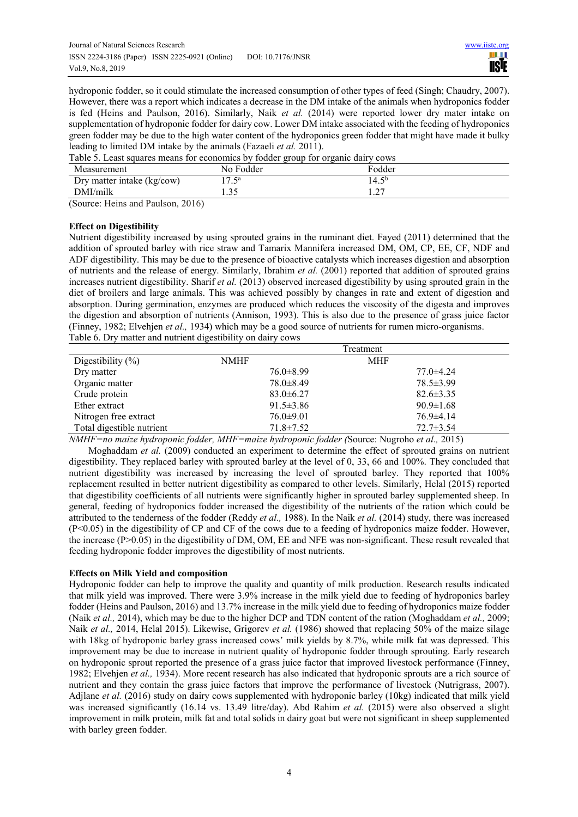hydroponic fodder, so it could stimulate the increased consumption of other types of feed (Singh; Chaudry, 2007). However, there was a report which indicates a decrease in the DM intake of the animals when hydroponics fodder is fed (Heins and Paulson, 2016). Similarly, Naik *et al.* (2014) were reported lower dry mater intake on supplementation of hydroponic fodder for dairy cow. Lower DM intake associated with the feeding of hydroponics green fodder may be due to the high water content of the hydroponics green fodder that might have made it bulky leading to limited DM intake by the animals (Fazaeli *et al.* 2011).

Table 5. Least squares means for economics by fodder group for organic dairy cows

| Measurement                | No Fodder | Fodder                   |
|----------------------------|-----------|--------------------------|
| Dry matter intake (kg/cow) | 17 5a     | 14.5 <sup>b</sup>        |
| DMI/milk                   | ر د. ۱    | $\sim$<br>$\cdot$ $\sim$ |

(Source: Heins and Paulson, 2016)

## **Effect on Digestibility**

Nutrient digestibility increased by using sprouted grains in the ruminant diet. Fayed (2011) determined that the addition of sprouted barley with rice straw and Tamarix Mannifera increased DM, OM, CP, EE, CF, NDF and ADF digestibility. This may be due to the presence of bioactive catalysts which increases digestion and absorption of nutrients and the release of energy. Similarly, Ibrahim *et al.* (2001) reported that addition of sprouted grains increases nutrient digestibility. Sharif *et al.* (2013) observed increased digestibility by using sprouted grain in the diet of broilers and large animals. This was achieved possibly by changes in rate and extent of digestion and absorption. During germination, enzymes are produced which reduces the viscosity of the digesta and improves the digestion and absorption of nutrients (Annison, 1993). This is also due to the presence of grass juice factor (Finney, 1982; Elvehjen *et al.,* 1934) which may be a good source of nutrients for rumen micro-organisms. Table 6. Dry matter and nutrient digestibility on dairy cows

|                           |                 | Treatment       |  |
|---------------------------|-----------------|-----------------|--|
| Digestibility $(\% )$     | <b>NMHF</b>     | <b>MHF</b>      |  |
| Dry matter                | $76.0 \pm 8.99$ | $77.0 \pm 4.24$ |  |
| Organic matter            | $78.0 \pm 8.49$ | $78.5 \pm 3.99$ |  |
| Crude protein             | $83.0 \pm 6.27$ | $82.6 \pm 3.35$ |  |
| Ether extract             | $91.5 \pm 3.86$ | $90.9 \pm 1.68$ |  |
| Nitrogen free extract     | $76.0 \pm 9.01$ | $76.9 \pm 4.14$ |  |
| Total digestible nutrient | $71.8 \pm 7.52$ | $72.7 \pm 3.54$ |  |

*NMHF=no maize hydroponic fodder, MHF=maize hydroponic fodder (*Source: Nugroho *et al.,* 2015)

Moghaddam *et al.* (2009) conducted an experiment to determine the effect of sprouted grains on nutrient digestibility. They replaced barley with sprouted barley at the level of 0, 33, 66 and 100%. They concluded that nutrient digestibility was increased by increasing the level of sprouted barley. They reported that 100% replacement resulted in better nutrient digestibility as compared to other levels. Similarly, Helal (2015) reported that digestibility coefficients of all nutrients were significantly higher in sprouted barley supplemented sheep. In general, feeding of hydroponics fodder increased the digestibility of the nutrients of the ration which could be attributed to the tenderness of the fodder (Reddy *et al.,* 1988). In the Naik *et al.* (2014) study, there was increased (P<0.05) in the digestibility of CP and CF of the cows due to a feeding of hydroponics maize fodder. However, the increase  $(P>0.05)$  in the digestibility of DM, OM, EE and NFE was non-significant. These result revealed that feeding hydroponic fodder improves the digestibility of most nutrients.

## **Effects on Milk Yield and composition**

Hydroponic fodder can help to improve the quality and quantity of milk production. Research results indicated that milk yield was improved. There were 3.9% increase in the milk yield due to feeding of hydroponics barley fodder (Heins and Paulson, 2016) and 13.7% increase in the milk yield due to feeding of hydroponics maize fodder (Naik *et al.,* 2014), which may be due to the higher DCP and TDN content of the ration (Moghaddam *et al.,* 2009; Naik *et al.,* 2014, Helal 2015). Likewise, Grigorev *et al.* (1986) showed that replacing 50% of the maize silage with 18kg of hydroponic barley grass increased cows' milk yields by 8.7%, while milk fat was depressed. This improvement may be due to increase in nutrient quality of hydroponic fodder through sprouting. Early research on hydroponic sprout reported the presence of a grass juice factor that improved livestock performance (Finney, 1982; Elvehjen *et al.,* 1934). More recent research has also indicated that hydroponic sprouts are a rich source of nutrient and they contain the grass juice factors that improve the performance of livestock (Nutrigrass, 2007). Adjlane *et al.* (2016) study on dairy cows supplemented with hydroponic barley (10kg) indicated that milk yield was increased significantly (16.14 vs. 13.49 litre/day). Abd Rahim *et al.* (2015) were also observed a slight improvement in milk protein, milk fat and total solids in dairy goat but were not significant in sheep supplemented with barley green fodder.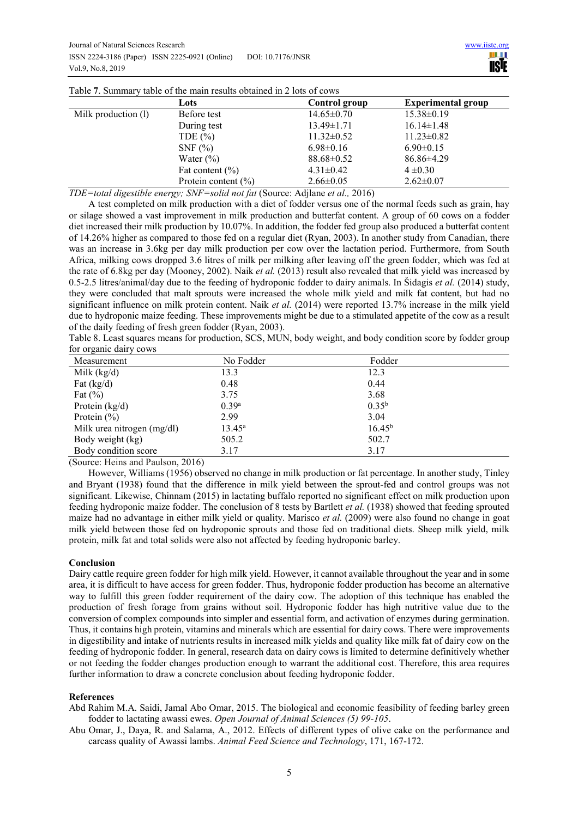|                     | Lots                   | Control group    | <b>Experimental group</b> |
|---------------------|------------------------|------------------|---------------------------|
| Milk production (1) | Before test            | $14.65 \pm 0.70$ | $15.38 \pm 0.19$          |
|                     | During test            | $13.49 \pm 1.71$ | $16.14 \pm 1.48$          |
|                     | TDE $(\% )$            | $11.32 \pm 0.52$ | $11.23 \pm 0.82$          |
|                     | $SNF$ $%$              | $6.98 \pm 0.16$  | $6.90 \pm 0.15$           |
|                     | Water $(\% )$          | $88.68 \pm 0.52$ | $86.86 \pm 4.29$          |
|                     | Fat content $(\% )$    | $4.31 \pm 0.42$  | $4 \pm 0.30$              |
|                     | Protein content $(\%)$ | $2.66 \pm 0.05$  | $2.62 \pm 0.07$           |

Table **7**. Summary table of the main results obtained in 2 lots of cows

*TDE=total digestible energy; SNF=solid not fat* (Source: Adjlane *et al.,* 2016)

A test completed on milk production with a diet of fodder versus one of the normal feeds such as grain, hay or silage showed a vast improvement in milk production and butterfat content. A group of 60 cows on a fodder diet increased their milk production by 10.07%. In addition, the fodder fed group also produced a butterfat content of 14.26% higher as compared to those fed on a regular diet (Ryan, 2003). In another study from Canadian, there was an increase in 3.6kg per day milk production per cow over the lactation period. Furthermore, from South Africa, milking cows dropped 3.6 litres of milk per milking after leaving off the green fodder, which was fed at the rate of 6.8kg per day (Mooney, 2002). Naik *et al.* (2013) result also revealed that milk yield was increased by 0.5-2.5 litres/animal/day due to the feeding of hydroponic fodder to dairy animals. In Šidagis *et al.* (2014) study, they were concluded that malt sprouts were increased the whole milk yield and milk fat content, but had no significant influence on milk protein content. Naik *et al.* (2014) were reported 13.7% increase in the milk yield due to hydroponic maize feeding. These improvements might be due to a stimulated appetite of the cow as a result of the daily feeding of fresh green fodder (Ryan, 2003).

Table 8. Least squares means for production, SCS, MUN, body weight, and body condition score by fodder group for organic dairy cows

| Measurement                | No Fodder         | Fodder      |
|----------------------------|-------------------|-------------|
| Milk $(kg/d)$              | 13.3              | 12.3        |
| Fat $(kg/d)$               | 0.48              | 0.44        |
| Fat $(\%)$                 | 3.75              | 3.68        |
| Protein $(kg/d)$           | 0.39 <sup>a</sup> | $0.35^{b}$  |
| Protein $(\% )$            | 2.99              | 3.04        |
| Milk urea nitrogen (mg/dl) | $13.45^{\rm a}$   | $16.45^{b}$ |
| Body weight (kg)           | 505.2             | 502.7       |
| Body condition score       | 3.17              | 3.17        |

(Source: Heins and Paulson, 2016)

However, Williams (1956) observed no change in milk production or fat percentage. In another study, Tinley and Bryant (1938) found that the difference in milk yield between the sprout-fed and control groups was not significant. Likewise, Chinnam (2015) in lactating buffalo reported no significant effect on milk production upon feeding hydroponic maize fodder. The conclusion of 8 tests by Bartlett *et al.* (1938) showed that feeding sprouted maize had no advantage in either milk yield or quality. Marisco *et al.* (2009) were also found no change in goat milk yield between those fed on hydroponic sprouts and those fed on traditional diets. Sheep milk yield, milk protein, milk fat and total solids were also not affected by feeding hydroponic barley.

## **Conclusion**

Dairy cattle require green fodder for high milk yield. However, it cannot available throughout the year and in some area, it is difficult to have access for green fodder. Thus, hydroponic fodder production has become an alternative way to fulfill this green fodder requirement of the dairy cow. The adoption of this technique has enabled the production of fresh forage from grains without soil. Hydroponic fodder has high nutritive value due to the conversion of complex compounds into simpler and essential form, and activation of enzymes during germination. Thus, it contains high protein, vitamins and minerals which are essential for dairy cows. There were improvements in digestibility and intake of nutrients results in increased milk yields and quality like milk fat of dairy cow on the feeding of hydroponic fodder. In general, research data on dairy cows is limited to determine definitively whether or not feeding the fodder changes production enough to warrant the additional cost. Therefore, this area requires further information to draw a concrete conclusion about feeding hydroponic fodder.

#### **References**

- Abd Rahim M.A. Saidi, Jamal Abo Omar, 2015. The biological and economic feasibility of feeding barley green fodder to lactating awassi ewes. *Open Journal of Animal Sciences (5) 99-105*.
- Abu Omar, J., Daya, R. and Salama, A., 2012. Effects of different types of olive cake on the performance and carcass quality of Awassi lambs. *Animal Feed Science and Technology*, 171, 167-172.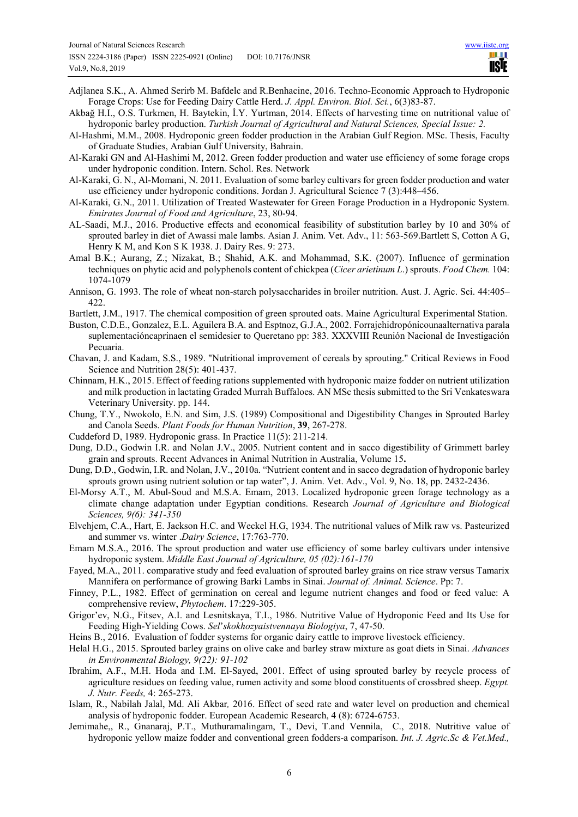- Adjlanea S.K., A. Ahmed Serirb M. Bafdelc and R.Benhacine, 2016. Techno-Economic Approach to Hydroponic Forage Crops: Use for Feeding Dairy Cattle Herd. *J. Appl. Environ. Biol. Sci.*, 6(3)83-87.
- Akbağ H.I., O.S. Turkmen, H. Baytekin, İ.Y. Yurtman, 2014. Effects of harvesting time on nutritional value of hydroponic barley production. *Turkish Journal of Agricultural and Natural Sciences, Special Issue: 2.*
- Al-Hashmi, M.M., 2008. Hydroponic green fodder production in the Arabian Gulf Region. MSc. Thesis, Faculty of Graduate Studies, Arabian Gulf University, Bahrain.
- Al-Karaki GN and Al-Hashimi M, 2012. Green fodder production and water use efficiency of some forage crops under hydroponic condition. Intern. Schol. Res. Network
- Al-Karaki, G. N., Al-Momani, N. 2011. Evaluation of some barley cultivars for green fodder production and water use efficiency under hydroponic conditions. Jordan J. Agricultural Science 7 (3):448–456.
- Al-Karaki, G.N., 2011. Utilization of Treated Wastewater for Green Forage Production in a Hydroponic System. *Emirates Journal of Food and Agriculture*, 23, 80-94.
- AL-Saadi, M.J., 2016. Productive effects and economical feasibility of substitution barley by 10 and 30% of sprouted barley in diet of Awassi male lambs. Asian J. Anim. Vet. Adv., 11: 563-569.Bartlett S, Cotton A G, Henry K M, and Kon S K 1938. J. Dairy Res. 9: 273.
- Amal B.K.; Aurang, Z.; Nizakat, B.; Shahid, A.K. and Mohammad, S.K. (2007). Influence of germination techniques on phytic acid and polyphenols content of chickpea (*Cicer arietinum L*.) sprouts. *Food Chem.* 104: 1074-1079
- Annison, G. 1993. The role of wheat non-starch polysaccharides in broiler nutrition. Aust. J. Agric. Sci. 44:405– 422.
- Bartlett, J.M., 1917. The chemical composition of green sprouted oats. Maine Agricultural Experimental Station.
- Buston, C.D.E., Gonzalez, E.L. Aguilera B.A. and Esptnoz, G.J.A., 2002. Forrajehidropónicounaalternativa parala suplementacióncaprinaen el semidesier to Queretano pp: 383. XXXVIII Reunión Nacional de Investigación Pecuaria.
- Chavan, J. and Kadam, S.S., 1989. "Nutritional improvement of cereals by sprouting." Critical Reviews in Food Science and Nutrition 28(5): 401-437.
- Chinnam, H.K., 2015. Effect of feeding rations supplemented with hydroponic maize fodder on nutrient utilization and milk production in lactating Graded Murrah Buffaloes. AN MSc thesis submitted to the Sri Venkateswara Veterinary University. pp. 144.
- Chung, T.Y., Nwokolo, E.N. and Sim, J.S. (1989) Compositional and Digestibility Changes in Sprouted Barley and Canola Seeds. *Plant Foods for Human Nutrition*, **39**, 267-278.
- Cuddeford D, 1989. Hydroponic grass. In Practice 11(5): 211-214.
- Dung, D.D., Godwin I.R. and Nolan J.V., 2005. Nutrient content and in sacco digestibility of Grimmett barley grain and sprouts. Recent Advances in Animal Nutrition in Australia, Volume 15**.**
- Dung, D.D., Godwin, I.R. and Nolan, J.V., 2010a. "Nutrient content and in sacco degradation of hydroponic barley sprouts grown using nutrient solution or tap water", J. Anim. Vet. Adv., Vol. 9, No. 18, pp. 2432-2436.
- El-Morsy A.T., M. Abul-Soud and M.S.A. Emam, 2013. Localized hydroponic green forage technology as a climate change adaptation under Egyptian conditions. Research *Journal of Agriculture and Biological Sciences, 9(6): 341-350*
- Elvehjem, C.A., Hart, E. Jackson H.C. and Weckel H.G, 1934. The nutritional values of Milk raw vs. Pasteurized and summer vs. winter .*Dairy Science*, 17:763-770.
- Emam M.S.A., 2016. The sprout production and water use efficiency of some barley cultivars under intensive hydroponic system. *Middle East Journal of Agriculture, 05 (02):161-170*
- Fayed, M.A., 2011. comparative study and feed evaluation of sprouted barley grains on rice straw versus Tamarix Mannifera on performance of growing Barki Lambs in Sinai. *Journal of. Animal. Science*. Pp: 7.
- Finney, P.L., 1982. Effect of germination on cereal and legume nutrient changes and food or feed value: A comprehensive review, *Phytochem*. 17:229-305.
- Grigor'ev, N.G., Fitsev, A.I. and Lesnitskaya, T.I., 1986. Nutritive Value of Hydroponic Feed and Its Use for Feeding High-Yielding Cows. *Sel*'*skokhozyaistvennaya Biologiya*, 7, 47-50.
- Heins B., 2016. Evaluation of fodder systems for organic dairy cattle to improve livestock efficiency.
- Helal H.G., 2015. Sprouted barley grains on olive cake and barley straw mixture as goat diets in Sinai. *Advances in Environmental Biology, 9(22): 91-102*
- Ibrahim, A.F., M.H. Hoda and I.M. El-Sayed, 2001. Effect of using sprouted barley by recycle process of agriculture residues on feeding value, rumen activity and some blood constituents of crossbred sheep. *Egypt. J. Nutr. Feeds,* 4: 265-273.
- Islam, R., Nabilah Jalal, Md. Ali Akbar*,* 2016. Effect of seed rate and water level on production and chemical analysis of hydroponic fodder. European Academic Research, 4 (8): 6724-6753.
- Jemimahe,, R., Gnanaraj, P.T., Muthuramalingam, T., Devi, T.and Vennila, C., 2018. Nutritive value of hydroponic yellow maize fodder and conventional green fodders-a comparison. *Int. J. Agric.Sc & Vet.Med.,*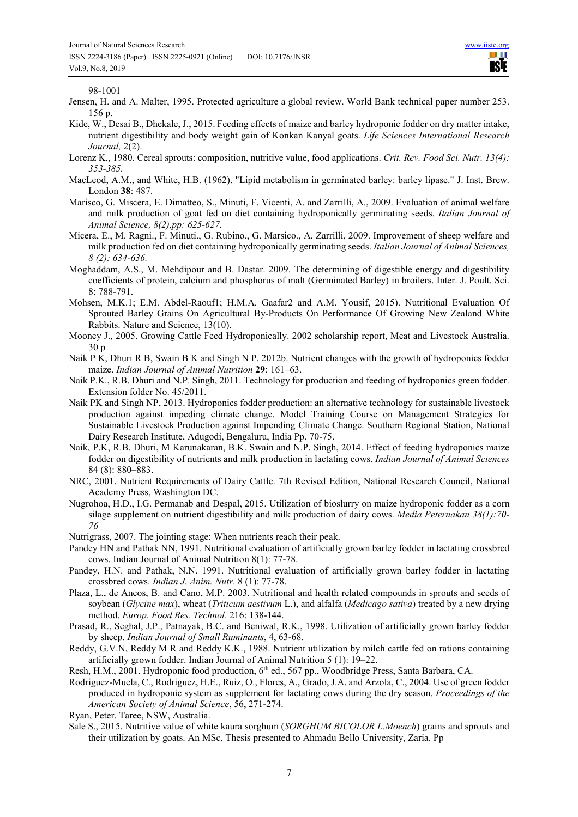98-1001

- Jensen, H. and A. Malter, 1995. Protected agriculture a global review. World Bank technical paper number 253. 156 p.
- Kide, W., Desai B., Dhekale, J., 2015. Feeding effects of maize and barley hydroponic fodder on dry matter intake, nutrient digestibility and body weight gain of Konkan Kanyal goats. *Life Sciences International Research Journal,* 2(2).
- Lorenz K., 1980. Cereal sprouts: composition, nutritive value, food applications. *Crit. Rev. Food Sci. Nutr. 13(4): 353-385.*
- MacLeod, A.M., and White, H.B. (1962). "Lipid metabolism in germinated barley: barley lipase." J. Inst. Brew. London **38**: 487.
- Marisco, G. Miscera, E. Dimatteo, S., Minuti, F. Vicenti, A. and Zarrilli, A., 2009. Evaluation of animal welfare and milk production of goat fed on diet containing hydroponically germinating seeds. *Italian Journal of Animal Science, 8(2),pp: 625-627.*
- Micera, E., M. Ragni., F. Minuti., G. Rubino., G. Marsico., A. Zarrilli, 2009. Improvement of sheep welfare and milk production fed on diet containing hydroponically germinating seeds. *Italian Journal of Animal Sciences, 8 (2): 634-636.*
- Moghaddam, A.S., M. Mehdipour and B. Dastar. 2009. The determining of digestible energy and digestibility coefficients of protein, calcium and phosphorus of malt (Germinated Barley) in broilers. Inter. J. Poult. Sci. 8: 788-791.
- Mohsen, M.K.1; E.M. Abdel-Raouf1; H.M.A. Gaafar2 and A.M. Yousif, 2015). Nutritional Evaluation Of Sprouted Barley Grains On Agricultural By-Products On Performance Of Growing New Zealand White Rabbits. Nature and Science, 13(10).
- Mooney J., 2005. Growing Cattle Feed Hydroponically. 2002 scholarship report, Meat and Livestock Australia. 30 p
- Naik P K, Dhuri R B, Swain B K and Singh N P. 2012b. Nutrient changes with the growth of hydroponics fodder maize. *Indian Journal of Animal Nutrition* **29**: 161–63.
- Naik P.K., R.B. Dhuri and N.P. Singh, 2011. Technology for production and feeding of hydroponics green fodder. Extension folder No. 45/2011.
- Naik PK and Singh NP, 2013. Hydroponics fodder production: an alternative technology for sustainable livestock production against impeding climate change. Model Training Course on Management Strategies for Sustainable Livestock Production against Impending Climate Change. Southern Regional Station, National Dairy Research Institute, Adugodi, Bengaluru, India Pp. 70-75.
- Naik, P.K, R.B. Dhuri, M Karunakaran, B.K. Swain and N.P. Singh, 2014. Effect of feeding hydroponics maize fodder on digestibility of nutrients and milk production in lactating cows. *Indian Journal of Animal Sciences*  84 (8): 880–883.
- NRC, 2001. Nutrient Requirements of Dairy Cattle. 7th Revised Edition, National Research Council, National Academy Press, Washington DC.
- Nugrohoa, H.D., I.G. Permanab and Despal, 2015. Utilization of bioslurry on maize hydroponic fodder as a corn silage supplement on nutrient digestibility and milk production of dairy cows. *Media Peternakan 38(1):70- 76*
- Nutrigrass, 2007. The jointing stage: When nutrients reach their peak.
- Pandey HN and Pathak NN, 1991. Nutritional evaluation of artificially grown barley fodder in lactating crossbred cows. Indian Journal of Animal Nutrition 8(1): 77-78.
- Pandey, H.N. and Pathak, N.N. 1991. Nutritional evaluation of artificially grown barley fodder in lactating crossbred cows. *Indian J. Anim. Nutr*. 8 (1): 77-78.
- Plaza, L., de Ancos, B. and Cano, M.P. 2003. Nutritional and health related compounds in sprouts and seeds of soybean (*Glycine max*), wheat (*Triticum aestivum* L.), and alfalfa (*Medicago sativa*) treated by a new drying method. *Europ. Food Res. Technol*. 216: 138-144.
- Prasad, R., Seghal, J.P., Patnayak, B.C. and Beniwal, R.K., 1998. Utilization of artificially grown barley fodder by sheep. *Indian Journal of Small Ruminants*, 4, 63-68.
- Reddy, G.V.N, Reddy M R and Reddy K.K., 1988. Nutrient utilization by milch cattle fed on rations containing artificially grown fodder. Indian Journal of Animal Nutrition 5 (1): 19–22.
- Resh, H.M., 2001. Hydroponic food production, 6th ed., 567 pp., Woodbridge Press, Santa Barbara, CA.
- Rodriguez-Muela, C., Rodriguez, H.E., Ruiz, O., Flores, A., Grado, J.A. and Arzola, C., 2004. Use of green fodder produced in hydroponic system as supplement for lactating cows during the dry season. *Proceedings of the American Society of Animal Science*, 56, 271-274.

Ryan, Peter. Taree, NSW, Australia.

Sale S., 2015. Nutritive value of white kaura sorghum (*SORGHUM BICOLOR L.Moench*) grains and sprouts and their utilization by goats. An MSc. Thesis presented to Ahmadu Bello University, Zaria. Pp